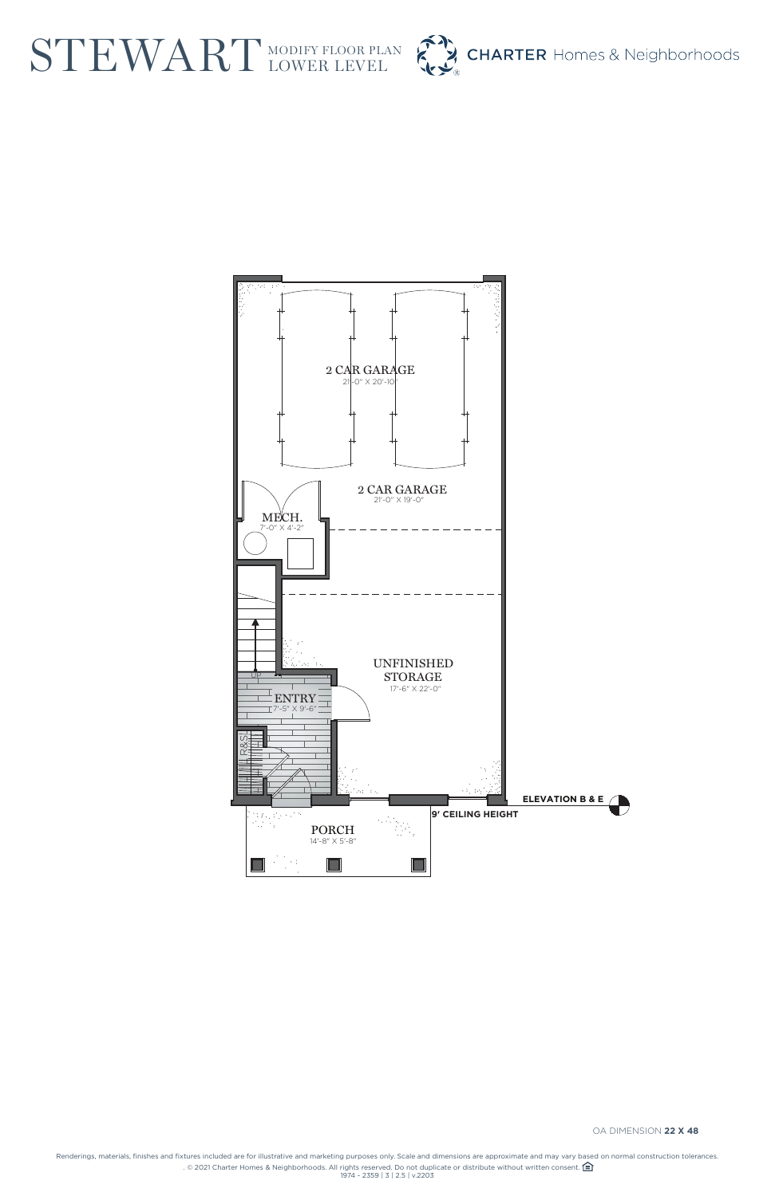Renderings, materials, finishes and fixtures included are for illustrative and marketing purposes only. Scale and dimensions are approximate and may vary based on normal construction tolerances. . © 2021 Charter Homes & Neighborhoods. All rights reserved. Do not duplicate or distribute without written consent.  $\bigoplus$ 1974 - 2359 | 3 | 2.5 | v.2203

## STEWART MODIFY FLOOR PL MODIFY FLOOR PLAN





OA DIMENSION **22 X 48**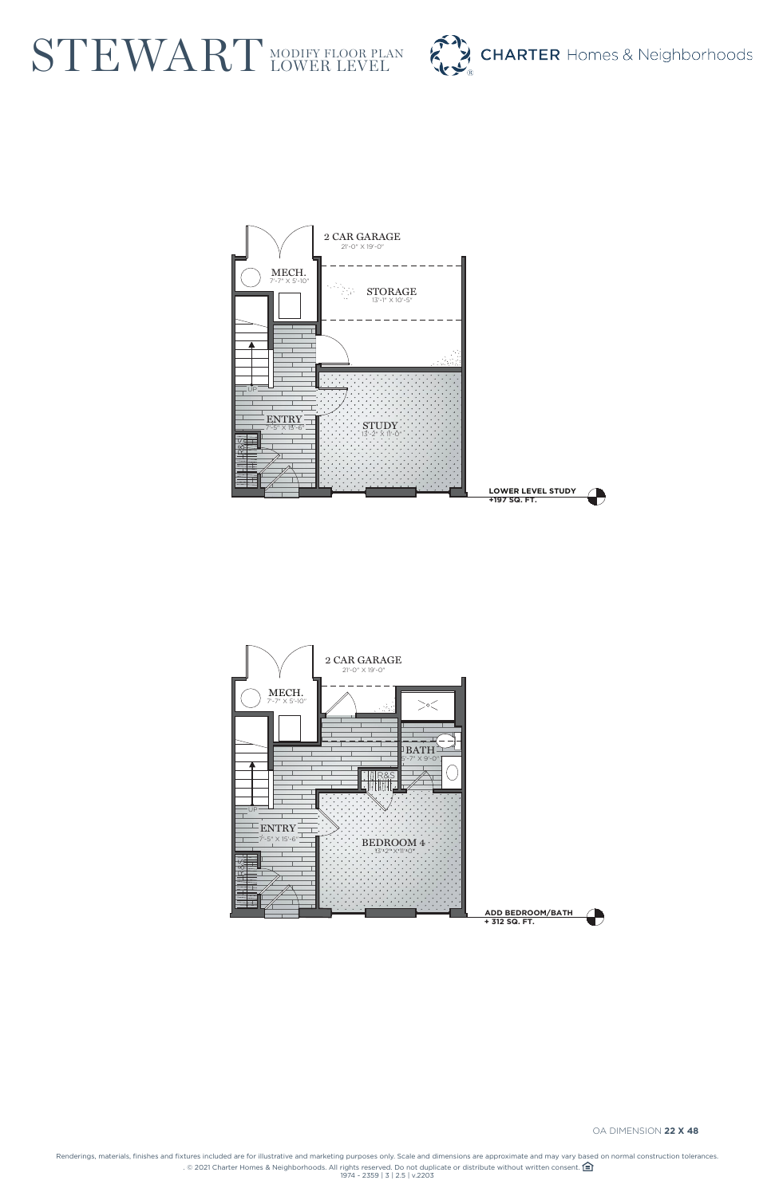Renderings, materials, finishes and fixtures included are for illustrative and marketing purposes only. Scale and dimensions are approximate and may vary based on normal construction tolerances. . © 2021 Charter Homes & Neighborhoods. All rights reserved. Do not duplicate or distribute without written consent.  $\bigoplus$ 1974 - 2359 | 3 | 2.5 | v.2203

## STEWART MODIFY FLOOR PL MODIFY FLOOR PLAN









OA DIMENSION **22 X 48**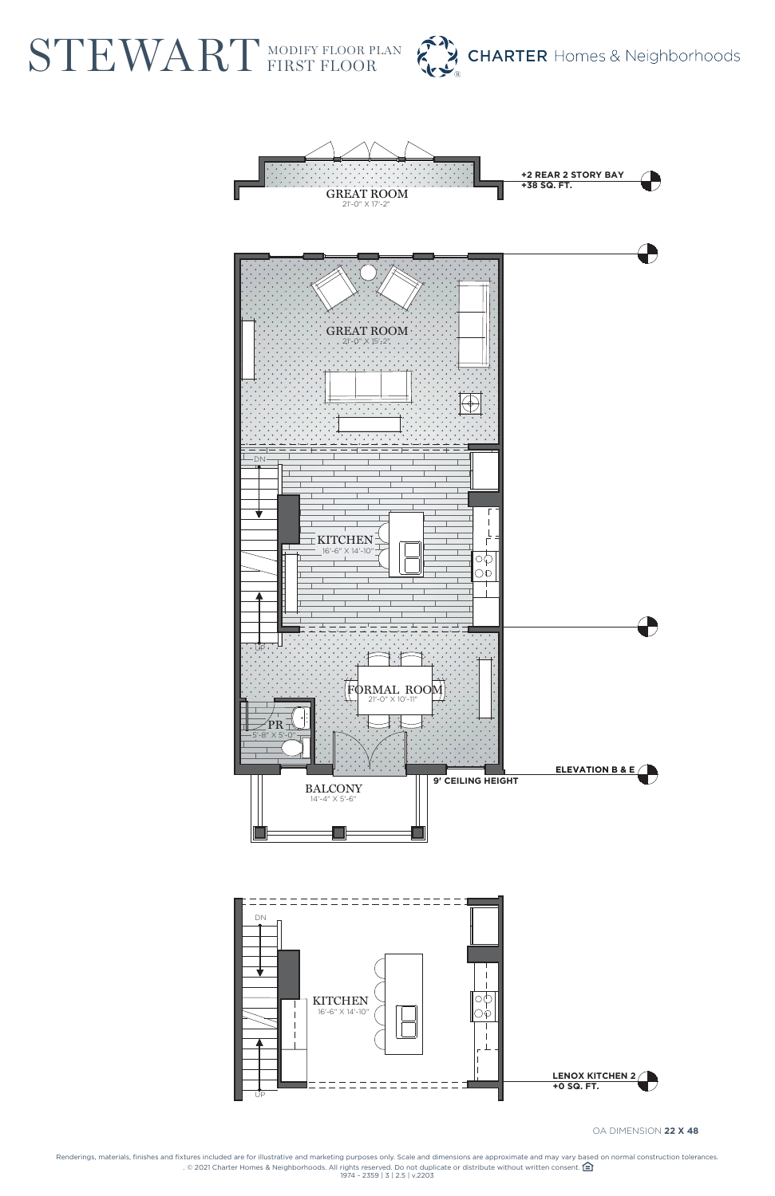Renderings, materials, finishes and fixtures included are for illustrative and marketing purposes only. Scale and dimensions are approximate and may vary based on normal construction tolerances. . © 2021 Charter Homes & Neighborhoods. All rights reserved. Do not duplicate or distribute without written consent.  $\bigoplus$ 1974 - 2359 | 3 | 2.5 | v.2203

STEWART MODIFY FLOOR P MODIFY FLOOR PLAN







OA DIMENSION **22 X 48**